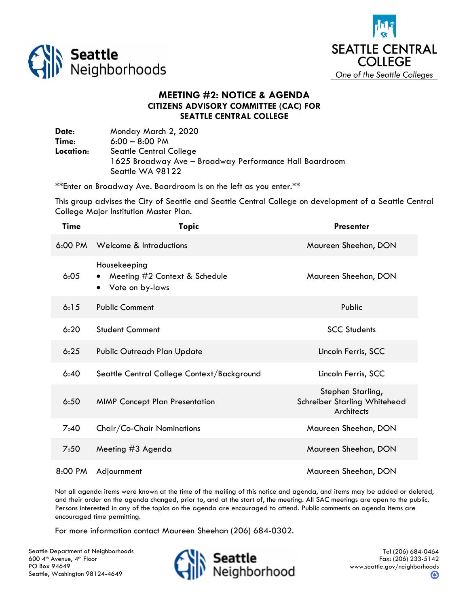



## **MEETING #2: NOTICE & AGENDA CITIZENS ADVISORY COMMITTEE (CAC) FOR SEATTLE CENTRAL COLLEGE**

**Date**: Monday March 2, 2020 **Time**: 6:00 – 8:00 PM **Location**: Seattle Central College 1625 Broadway Ave – Broadway Performance Hall Boardroom Seattle WA 98122

\*\*Enter on Broadway Ave. Boardroom is on the left as you enter.\*\*

This group advises the City of Seattle and Seattle Central College on development of a Seattle Central College Major Institution Master Plan.

| <b>Time</b>       | <b>Topic</b>                                                     | <b>Presenter</b>                                                |
|-------------------|------------------------------------------------------------------|-----------------------------------------------------------------|
| $6:00 \text{ PM}$ | Welcome & Introductions                                          | Maureen Sheehan, DON                                            |
| 6:05              | Housekeeping<br>Meeting #2 Context & Schedule<br>Vote on by-laws | Maureen Sheehan, DON                                            |
| 6:15              | <b>Public Comment</b>                                            | Public                                                          |
| 6:20              | <b>Student Comment</b>                                           | <b>SCC Students</b>                                             |
| 6:25              | Public Outreach Plan Update                                      | Lincoln Ferris, SCC                                             |
| 6:40              | Seattle Central College Context/Background                       | Lincoln Ferris, SCC                                             |
| 6:50              | <b>MIMP Concept Plan Presentation</b>                            | Stephen Starling,<br>Schreiber Starling Whitehead<br>Architects |
| 7:40              | Chair/Co-Chair Nominations                                       | Maureen Sheehan, DON                                            |
| 7:50              | Meeting #3 Agenda                                                | Maureen Sheehan, DON                                            |
| 8:00 PM           | Adjournment                                                      | Maureen Sheehan, DON                                            |

Not all agenda items were known at the time of the mailing of this notice and agenda, and items may be added or deleted, and their order on the agenda changed, prior to, and at the start of, the meeting. All SAC meetings are open to the public. Persons interested in any of the topics on the agenda are encouraged to attend. Public comments on agenda items are encouraged time permitting.

For more information contact Maureen Sheehan (206) 684-0302.

Seattle Department of Neighborhoods 600 4<sup>th</sup> Avenue, 4<sup>th</sup> Floor PO Box 94649 Seattle, Washington 98124-4649



Tel (206) 684-0464 Fax: (206) 233-5142 www.seattle.gov/neighborhoods ❸